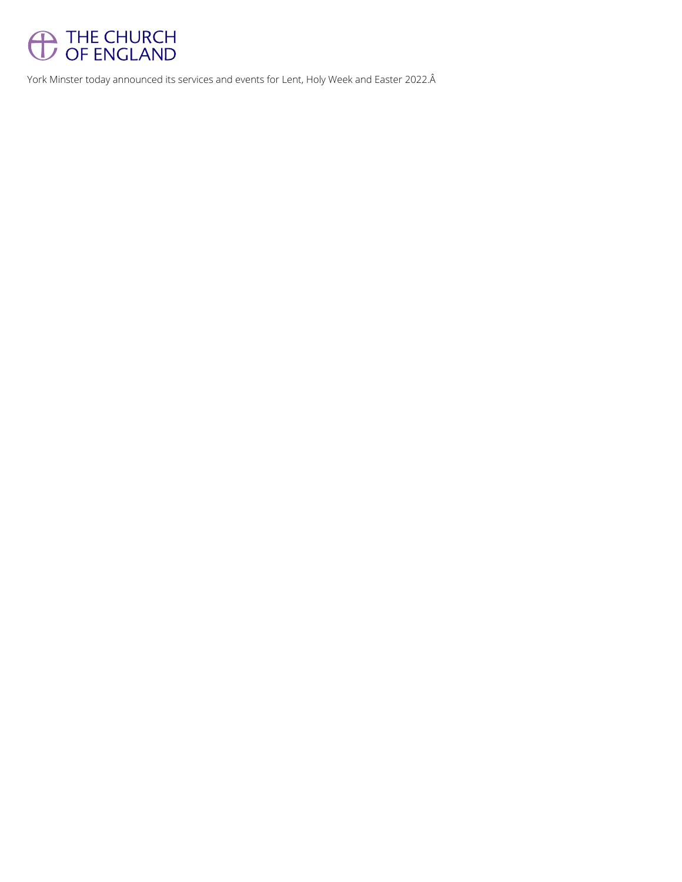

York Minster today announced its services and events for Lent, Holy Week and Easter 2022.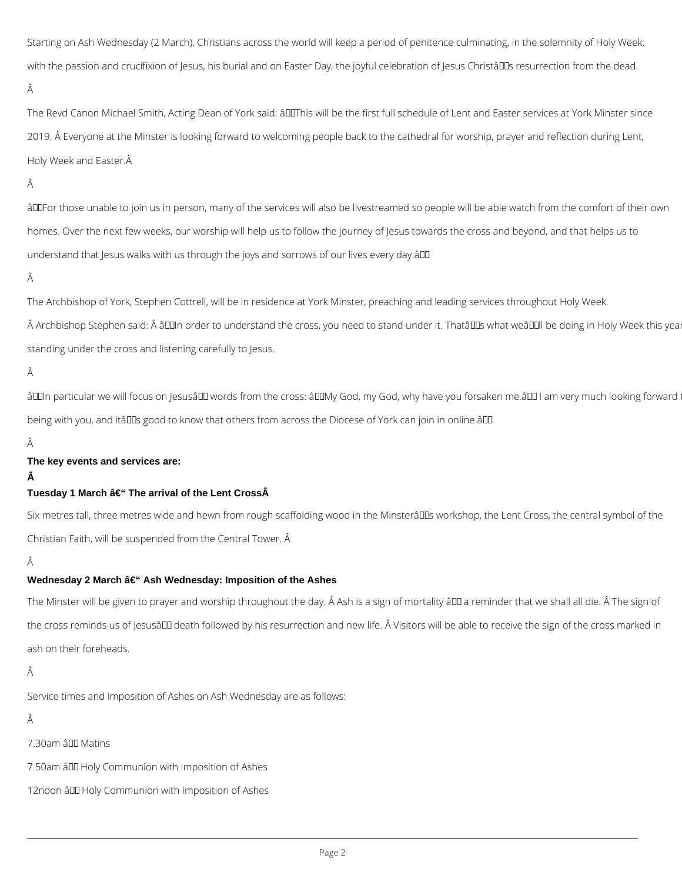Starting on Ash Wednesday (2 March), Christians across the world will keep a period of penitence culminating, in the solemnity of Holy Week, with the passion and crucifixion of Jesus, his burial and on Easter Day, the joyful celebration of Jesus Christâll Is resurrection from the dead. Â

The Revd Canon Michael Smith, Acting Dean of York said: âDIThis will be the first full schedule of Lent and Easter services at York Minster since 2019. Â Everyone at the Minster is looking forward to welcoming people back to the cathedral for worship, prayer and reflection during Lent, Holy Week and Easter.

## Â

âDDFor those unable to join us in person, many of the services will also be livestreamed so people will be able watch from the comfort of their own homes. Over the next few weeks, our worship will help us to follow the journey of Jesus towards the cross and beyond, and that helps us to understand that Jesus walks with us through the joys and sorrows of our lives every day.  $\partial \mathbb{D}$ 

Â

A Archbishop Stephen said: A â00In order to understand the cross, you need to stand under it. Thatâ00s what weâ00II be doing in Holy Week this yea standing under the cross and listening carefully to Jesus.

#### Â

âD In particular we will focus on Jesusâ D words from the cross: âD IMy God, my God, why have you forsaken me.â I am very much looking forward being with you, and itâlles good to know that others from across the Diocese of York can join in online.âlle

Â

Six metres tall, three metres wide and hewn from rough scaffolding wood in the Minsterâll us workshop, the Lent Cross, the central symbol of the Christian Faith, will be suspended from the Central Tower. Â

Â

## **Wednesday 2 March – Ash Wednesday: Imposition of the Ashes**

The Archbishop of York, Stephen Cottrell, will be in residence at York Minster, preaching and leading services throughout Holy Week.

The Minster will be given to prayer and worship throughout the day. Â Ash is a sign of mortality â D areminder that we shall all die. Â The sign of the cross reminds us of Jesusâ DD death followed by his resurrection and new life. A Visitors will be able to receive the sign of the cross marked in ash on their foreheads.

## **The key events and services are:**

 $\hat{\mathbf{A}}$ 

## Tuesday 1 March – The arrival of the Lent Cross**Â**

Service times and Imposition of Ashes on Ash Wednesday are as follows:

## Â

7.30am â III Matins

7.50am â DD Holy Communion with Imposition of Ashes

12noon â Holy Communion with Imposition of Ashes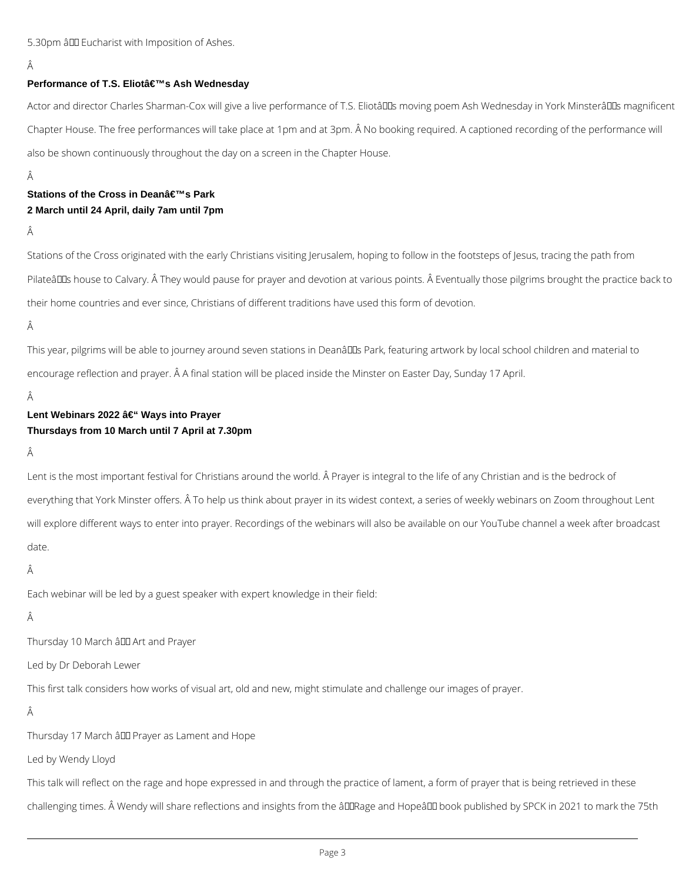## 5.30pm â LD Eucharist with Imposition of Ashes.

## Â

#### **Performance of T.S. Eliot's Ash Wednesday**

Actor and director Charles Sharman-Cox will give a live performance of T.S. Eliotâll moving poem Ash Wednesday in York Minsterâll Is magnificent Chapter House. The free performances will take place at 1pm and at 3pm. Â No booking required. A captioned recording of the performance will also be shown continuously throughout the day on a screen in the Chapter House.

Â

# **Stations of the Cross in Dean's Park 2 March until 24 April, daily 7am until 7pm**

Â

This year, pilgrims will be able to journey around seven stations in Deanâll B Park, featuring artwork by local school children and material to encourage reflection and prayer. Â A final station will be placed inside the Minster on Easter Day, Sunday 17 April.

Â

# **Lent Webinars 2022 – Ways into Prayer Thursdays from 10 March until 7 April at 7.30pm**

Â

Stations of the Cross originated with the early Christians visiting Jerusalem, hoping to follow in the footsteps of Jesus, tracing the path from Pilateâll Dus house to Calvary. Â They would pause for prayer and devotion at various points. Â Eventually those pilgrims brought the practice back to their home countries and ever since, Christians of different traditions have used this form of devotion.

Â

Lent is the most important festival for Christians around the world. Â Prayer is integral to the life of any Christian and is the bedrock of everything that York Minster offers. Â To help us think about prayer in its widest context, a series of weekly webinars on Zoom throughout Lent will explore different ways to enter into prayer. Recordings of the webinars will also be available on our YouTube channel a week after broadcast date.

Â

Each webinar will be led by a guest speaker with expert knowledge in their field:

#### Â

Thursday 10 March â DD Art and Prayer

This first talk considers how works of visual art, old and new, might stimulate and challenge our images of prayer.

## Â

Thursday 17 March â DD Prayer as Lament and Hope

Led by Wendy Lloyd

This talk will reflect on the rage and hope expressed in and through the practice of lament, a form of prayer that is being retrieved in these

challenging times. Â Wendy will share reflections and insights from the âDDRage and HopeâDD book published by SPCK in 2021 to mark the 75th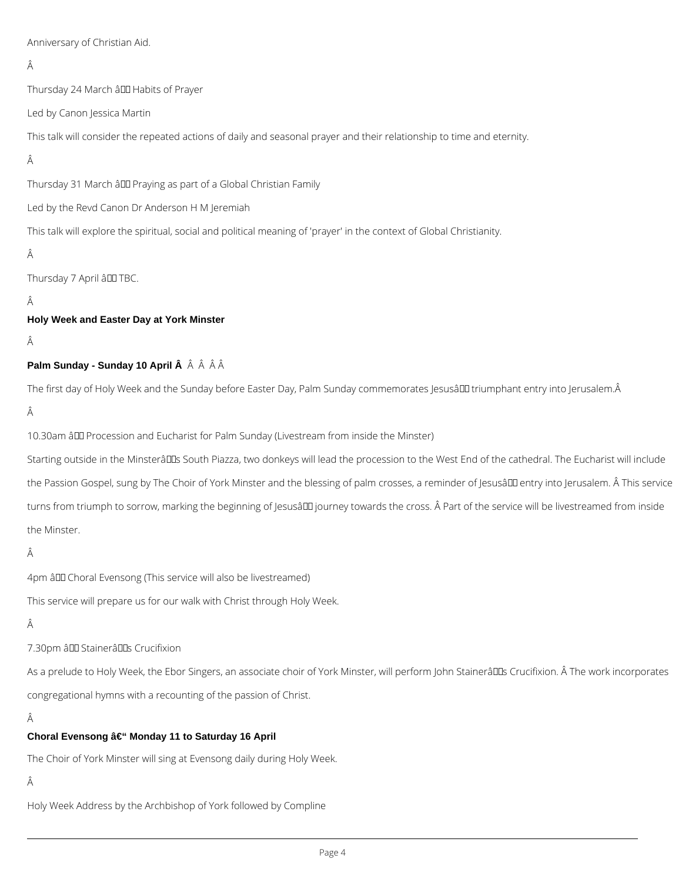Anniversary of Christian Aid.

# Â

Thursday 24 March â LLI Habits of Prayer

Led by Canon Jessica Martin

This talk will consider the repeated actions of daily and seasonal prayer and their relationship to time and eternity.

# Â

Thursday 31 March â DD Praying as part of a Global Christian Family

Led by the Revd Canon Dr Anderson H M Jeremiah

This talk will explore the spiritual, social and political meaning of 'prayer' in the context of Global Christianity.

## Â

Thursday 7 April â DO TBC.

## Â

**Holy Week and Easter Day at York Minster**

## Â

## **Palm Sunday - Sunday 10 April Â** Â Â Â Â

The first day of Holy Week and the Sunday before Easter Day, Palm Sunday commemorates Jesusâ III triumphant entry into Jerusalem.Â

## Â

10.30am â DD Procession and Eucharist for Palm Sunday (Livestream from inside the Minster)

Starting outside in the Minsterâll Ds South Piazza, two donkeys will lead the procession to the West End of the cathedral. The Eucharist will include the Passion Gospel, sung by The Choir of York Minster and the blessing of palm crosses, a reminder of Jesusâll entry into Jerusalem. Â This service turns from triumph to sorrow, marking the beginning of Jesusâ III journey towards the cross. Â Part of the service will be livestreamed from inside the Minster.

## Â

4pm â DD Choral Evensong (This service will also be livestreamed)

This service will prepare us for our walk with Christ through Holy Week.

#### Â

#### 7.30pm â DD Stainerâ DDs Crucifixion

As a prelude to Holy Week, the Ebor Singers, an associate choir of York Minster, will perform John Stainerâll Dis Crucifixion. Â The work incorporates

congregational hymns with a recounting of the passion of Christ.

# Â

#### **Choral Evensong – Monday 11 to Saturday 16 April**

The Choir of York Minster will sing at Evensong daily during Holy Week.

# Â

Holy Week Address by the Archbishop of York followed by Compline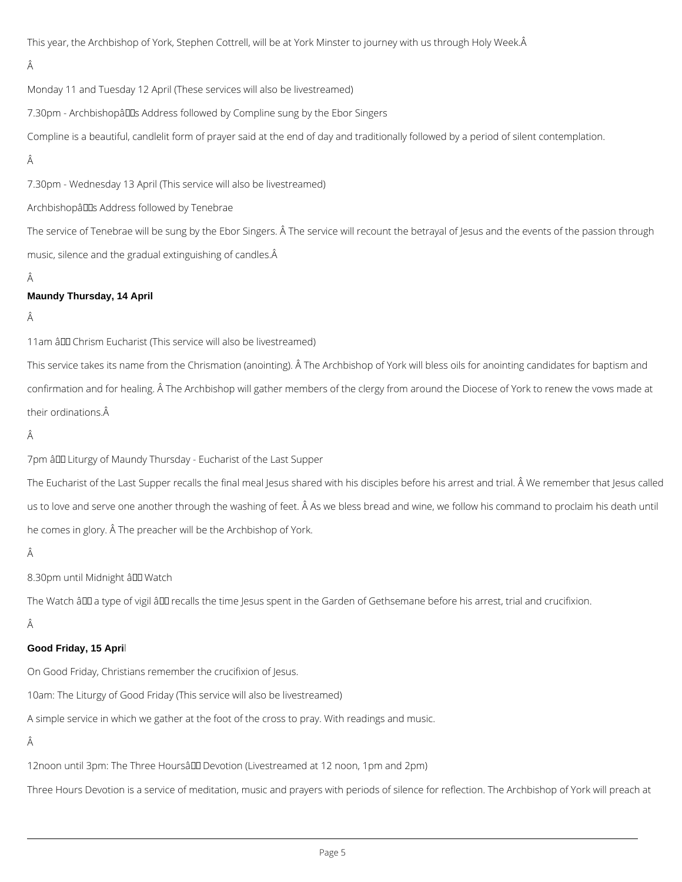This year, the Archbishop of York, Stephen Cottrell, will be at York Minster to journey with us through Holy Week.

# Â

Monday 11 and Tuesday 12 April (These services will also be livestreamed)

7.30pm - Archbishopâ Las Address followed by Compline sung by the Ebor Singers

Compline is a beautiful, candlelit form of prayer said at the end of day and traditionally followed by a period of silent contemplation.

# Â

7.30pm - Wednesday 13 April (This service will also be livestreamed)

Archbishopâlles Address followed by Tenebrae

The service of Tenebrae will be sung by the Ebor Singers. Â The service will recount the betrayal of Jesus and the events of the passion through music, silence and the gradual extinguishing of candles.

## Â

## **Maundy Thursday, 14 April**

## Â

11am â DD Chrism Eucharist (This service will also be livestreamed)

This service takes its name from the Chrismation (anointing). Â The Archbishop of York will bless oils for anointing candidates for baptism and confirmation and for healing. Â The Archbishop will gather members of the clergy from around the Diocese of York to renew the vows made at their ordinations.

## Â

7pm â Luturgy of Maundy Thursday - Eucharist of the Last Supper

The Eucharist of the Last Supper recalls the final meal Jesus shared with his disciples before his arrest and trial. Â We remember that Jesus called us to love and serve one another through the washing of feet. Â As we bless bread and wine, we follow his command to proclaim his death until he comes in glory. Â The preacher will be the Archbishop of York.

## Â

8.30pm until Midnight â DD Watch

The Watch â DD a type of vigil â DD recalls the time Jesus spent in the Garden of Gethsemane before his arrest, trial and crucifixion.

Â

#### **Good Friday, 15 Apri**l

On Good Friday, Christians remember the crucifixion of Jesus.

10am: The Liturgy of Good Friday (This service will also be livestreamed)

A simple service in which we gather at the foot of the cross to pray. With readings and music.

Â

12noon until 3pm: The Three Hoursâl Devotion (Livestreamed at 12 noon, 1pm and 2pm)

Three Hours Devotion is a service of meditation, music and prayers with periods of silence for reflection. The Archbishop of York will preach at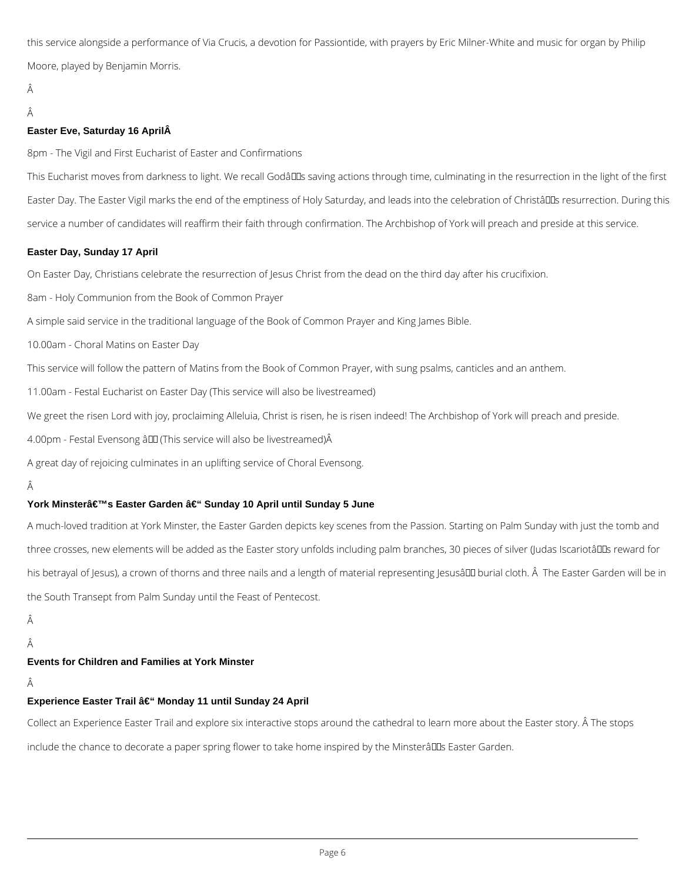this service alongside a performance of Via Crucis, a devotion for Passiontide, with prayers by Eric Milner-White and music for organ by Philip Moore, played by Benjamin Morris.

## Â

#### Â

### **Easter Eve, Saturday 16 AprilÂ**

8pm - The Vigil and First Eucharist of Easter and Confirmations

This Eucharist moves from darkness to light. We recall Godâll saving actions through time, culminating in the resurrection in the light of the first Easter Day. The Easter Vigil marks the end of the emptiness of Holy Saturday, and leads into the celebration of Christâll Is resurrection. During this service a number of candidates will reaffirm their faith through confirmation. The Archbishop of York will preach and preside at this service.

## **Easter Day, Sunday 17 April**

On Easter Day, Christians celebrate the resurrection of Jesus Christ from the dead on the third day after his crucifixion.

8am - Holy Communion from the Book of Common Prayer

A simple said service in the traditional language of the Book of Common Prayer and King James Bible.

10.00am - Choral Matins on Easter Day

This service will follow the pattern of Matins from the Book of Common Prayer, with sung psalms, canticles and an anthem.

11.00am - Festal Eucharist on Easter Day (This service will also be livestreamed)

We greet the risen Lord with joy, proclaiming Alleluia, Christ is risen, he is risen indeed! The Archbishop of York will preach and preside.

4.00pm - Festal Evensong â LLI (This service will also be livestreamed) Â

A great day of rejoicing culminates in an uplifting service of Choral Evensong.

## Â

# York Minsterâ€<sup>™</sup>s Easter Garden – Sunday 10 April until Sunday 5 June

A much-loved tradition at York Minster, the Easter Garden depicts key scenes from the Passion. Starting on Palm Sunday with just the tomb and three crosses, new elements will be added as the Easter story unfolds including palm branches, 30 pieces of silver (Judas Iscariotâll as reward for his betrayal of Jesus), a crown of thorns and three nails and a length of material representing Jesusâ III burial cloth. Â The Easter Garden will be in the South Transept from Palm Sunday until the Feast of Pentecost.

Â

Â

#### **Events for Children and Families at York Minster**

## Â

#### **Experience Easter Trail – Monday 11 until Sunday 24 April**

Collect an Experience Easter Trail and explore six interactive stops around the cathedral to learn more about the Easter story. Â The stops

include the chance to decorate a paper spring flower to take home inspired by the Minsterâll LIs Easter Garden.